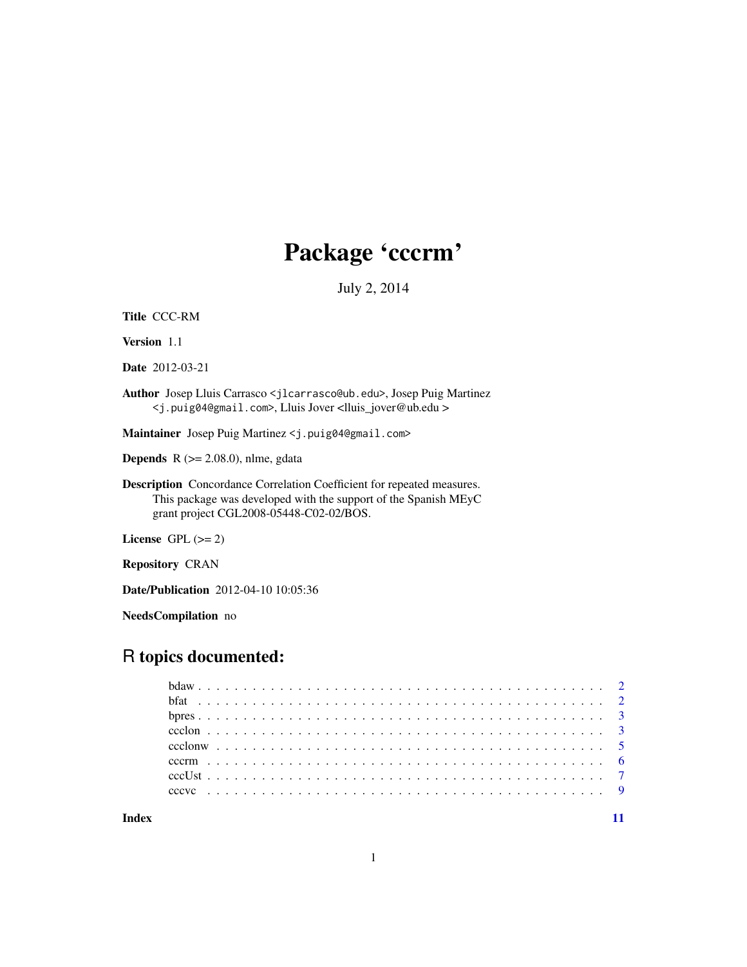# Package 'cccrm'

July 2, 2014

Title CCC-RM

Version 1.1

Date 2012-03-21

Author Josep Lluis Carrasco <jlcarrasco@ub.edu>, Josep Puig Martinez <j.puig04@gmail.com>, Lluis Jover <lluis\_jover@ub.edu >

Maintainer Josep Puig Martinez <j.puig04@gmail.com>

**Depends** R  $(>= 2.08.0)$ , nlme, gdata

Description Concordance Correlation Coefficient for repeated measures. This package was developed with the support of the Spanish MEyC grant project CGL2008-05448-C02-02/BOS.

License GPL  $(>= 2)$ 

Repository CRAN

Date/Publication 2012-04-10 10:05:36

NeedsCompilation no

# R topics documented:

**Index** [11](#page-10-0)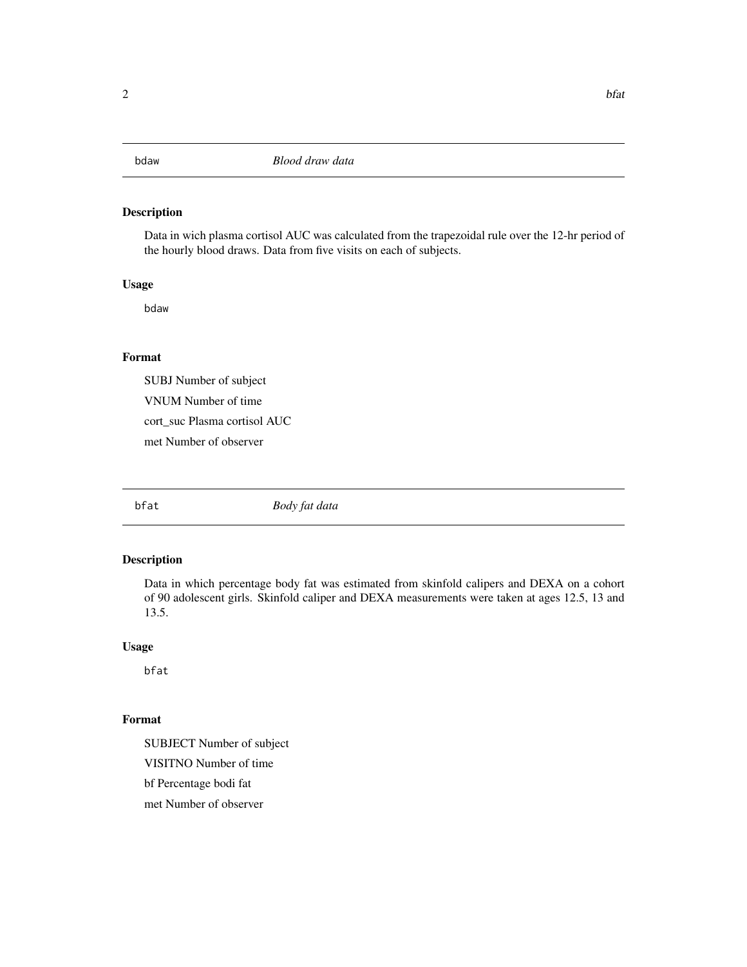<span id="page-1-0"></span>

#### Description

Data in wich plasma cortisol AUC was calculated from the trapezoidal rule over the 12-hr period of the hourly blood draws. Data from five visits on each of subjects.

### Usage

bdaw

# Format

SUBJ Number of subject

VNUM Number of time

cort\_suc Plasma cortisol AUC

met Number of observer

bfat *Body fat data*

### Description

Data in which percentage body fat was estimated from skinfold calipers and DEXA on a cohort of 90 adolescent girls. Skinfold caliper and DEXA measurements were taken at ages 12.5, 13 and 13.5.

#### Usage

bfat

#### Format

SUBJECT Number of subject VISITNO Number of time bf Percentage bodi fat

met Number of observer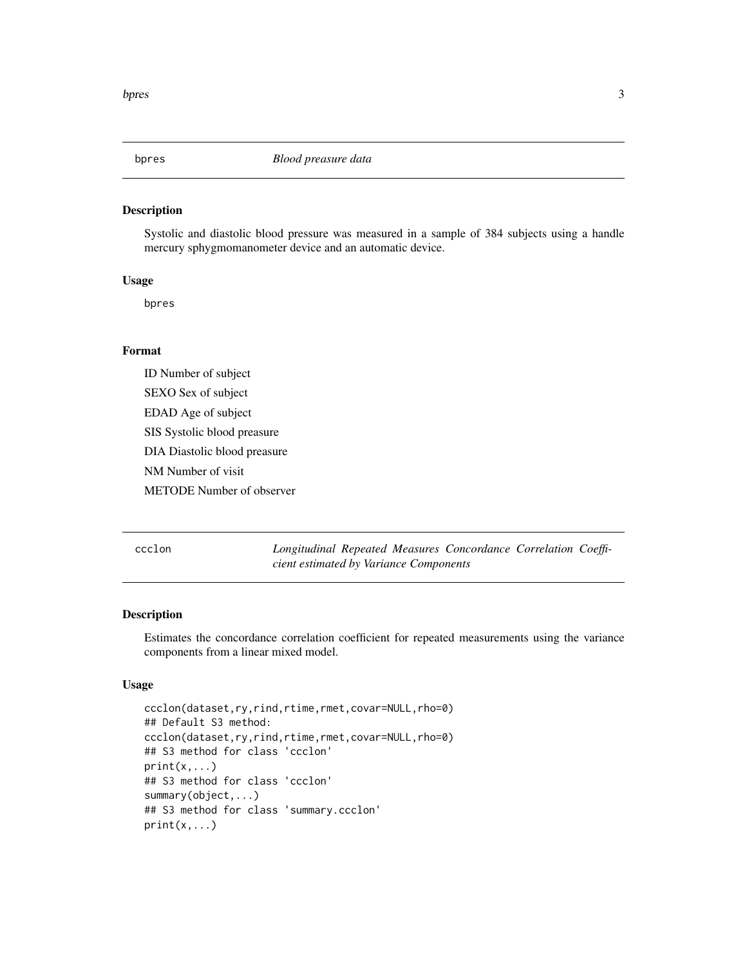<span id="page-2-0"></span>

#### Description

Systolic and diastolic blood pressure was measured in a sample of 384 subjects using a handle mercury sphygmomanometer device and an automatic device.

# Usage

bpres

# Format

ID Number of subject SEXO Sex of subject EDAD Age of subject SIS Systolic blood preasure DIA Diastolic blood preasure NM Number of visit METODE Number of observer

ccclon *Longitudinal Repeated Measures Concordance Correlation Coefficient estimated by Variance Components*

#### Description

Estimates the concordance correlation coefficient for repeated measurements using the variance components from a linear mixed model.

#### Usage

```
ccclon(dataset,ry,rind,rtime,rmet,covar=NULL,rho=0)
## Default S3 method:
ccclon(dataset,ry,rind,rtime,rmet,covar=NULL,rho=0)
## S3 method for class 'ccclon'
print(x, \ldots)## S3 method for class 'ccclon'
summary(object,...)
## S3 method for class 'summary.ccclon'
print(x, \ldots)
```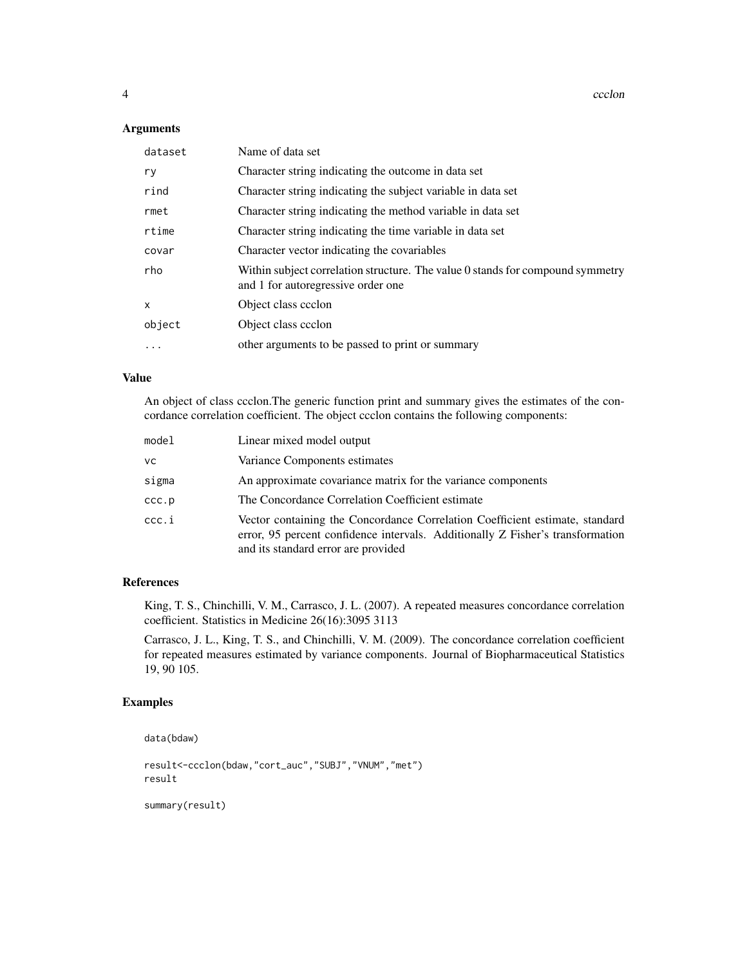4 ccclon and the contract of the contract of the contract of the contract of the contract of the contract of the contract of the contract of the contract of the contract of the contract of the contract of the contract of t

#### Arguments

| dataset  | Name of data set                                                                                                     |
|----------|----------------------------------------------------------------------------------------------------------------------|
| ry       | Character string indicating the outcome in data set                                                                  |
| rind     | Character string indicating the subject variable in data set                                                         |
| rmet     | Character string indicating the method variable in data set                                                          |
| rtime    | Character string indicating the time variable in data set                                                            |
| covar    | Character vector indicating the covariables                                                                          |
| rho      | Within subject correlation structure. The value 0 stands for compound symmetry<br>and 1 for autoregressive order one |
| X        | Object class ccclon                                                                                                  |
| object   | Object class ccclon                                                                                                  |
| $\cdots$ | other arguments to be passed to print or summary                                                                     |

#### Value

An object of class ccclon.The generic function print and summary gives the estimates of the concordance correlation coefficient. The object ccclon contains the following components:

| model | Linear mixed model output                                                                                                                                                                             |
|-------|-------------------------------------------------------------------------------------------------------------------------------------------------------------------------------------------------------|
| vс    | Variance Components estimates                                                                                                                                                                         |
| sigma | An approximate covariance matrix for the variance components                                                                                                                                          |
| ccc.p | The Concordance Correlation Coefficient estimate                                                                                                                                                      |
| ccc.i | Vector containing the Concordance Correlation Coefficient estimate, standard<br>error, 95 percent confidence intervals. Additionally Z Fisher's transformation<br>and its standard error are provided |

#### References

King, T. S., Chinchilli, V. M., Carrasco, J. L. (2007). A repeated measures concordance correlation coefficient. Statistics in Medicine 26(16):3095 3113

Carrasco, J. L., King, T. S., and Chinchilli, V. M. (2009). The concordance correlation coefficient for repeated measures estimated by variance components. Journal of Biopharmaceutical Statistics 19, 90 105.

#### Examples

```
data(bdaw)
```

```
result<-ccclon(bdaw,"cort_auc","SUBJ","VNUM","met")
result
```
summary(result)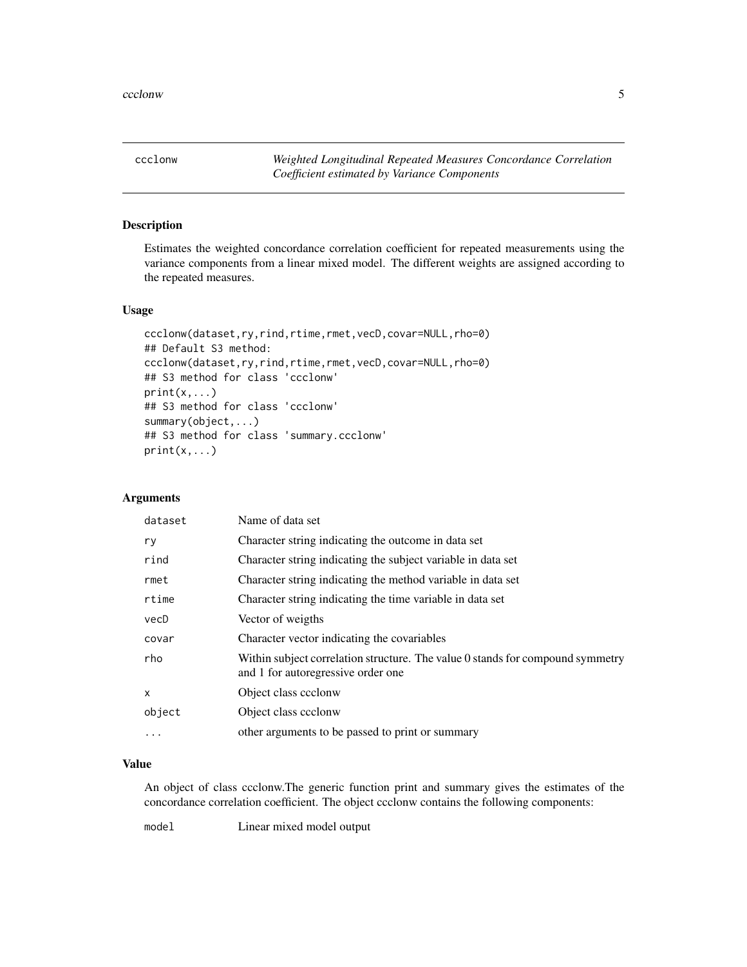<span id="page-4-0"></span>ccclonw *Weighted Longitudinal Repeated Measures Concordance Correlation Coefficient estimated by Variance Components*

#### Description

Estimates the weighted concordance correlation coefficient for repeated measurements using the variance components from a linear mixed model. The different weights are assigned according to the repeated measures.

#### Usage

```
ccclonw(dataset,ry,rind,rtime,rmet,vecD,covar=NULL,rho=0)
## Default S3 method:
ccclonw(dataset,ry,rind,rtime,rmet,vecD,covar=NULL,rho=0)
## S3 method for class 'ccclonw'
print(x, \ldots)## S3 method for class 'ccclonw'
summary(object,...)
## S3 method for class 'summary.ccclonw'
print(x, \ldots)
```
# Arguments

| dataset  | Name of data set                                                                                                     |
|----------|----------------------------------------------------------------------------------------------------------------------|
| ry       | Character string indicating the outcome in data set                                                                  |
| rind     | Character string indicating the subject variable in data set                                                         |
| rmet     | Character string indicating the method variable in data set                                                          |
| rtime    | Character string indicating the time variable in data set                                                            |
| vecD     | Vector of weigths                                                                                                    |
| covar    | Character vector indicating the covariables                                                                          |
| rho      | Within subject correlation structure. The value 0 stands for compound symmetry<br>and 1 for autoregressive order one |
| X        | Object class ccclonw                                                                                                 |
| object   | Object class ccclonw                                                                                                 |
| $\cdots$ | other arguments to be passed to print or summary                                                                     |

# Value

An object of class ccclonw.The generic function print and summary gives the estimates of the concordance correlation coefficient. The object ccclonw contains the following components:

model Linear mixed model output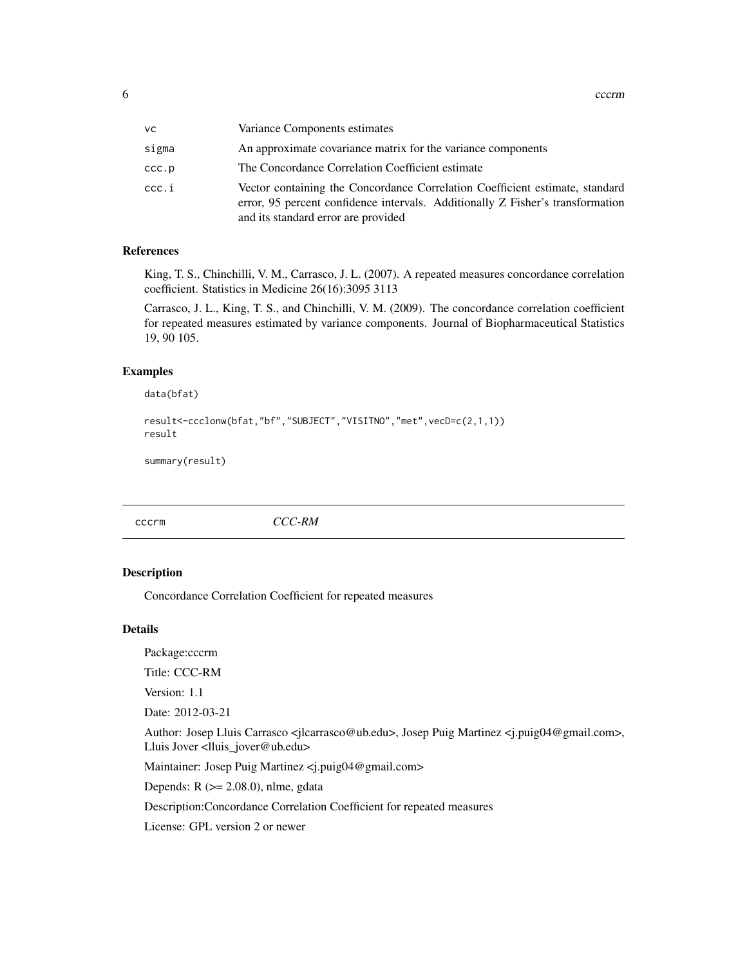<span id="page-5-0"></span>

| vс    | Variance Components estimates                                                                                                                                                                         |
|-------|-------------------------------------------------------------------------------------------------------------------------------------------------------------------------------------------------------|
| sigma | An approximate covariance matrix for the variance components                                                                                                                                          |
| ccc.p | The Concordance Correlation Coefficient estimate                                                                                                                                                      |
| ccc.i | Vector containing the Concordance Correlation Coefficient estimate, standard<br>error, 95 percent confidence intervals. Additionally Z Fisher's transformation<br>and its standard error are provided |

#### References

King, T. S., Chinchilli, V. M., Carrasco, J. L. (2007). A repeated measures concordance correlation coefficient. Statistics in Medicine 26(16):3095 3113

Carrasco, J. L., King, T. S., and Chinchilli, V. M. (2009). The concordance correlation coefficient for repeated measures estimated by variance components. Journal of Biopharmaceutical Statistics 19, 90 105.

#### Examples

data(bfat)

```
result<-ccclonw(bfat,"bf","SUBJECT","VISITNO","met",vecD=c(2,1,1))
result
```
summary(result)

cccrm *CCC-RM*

# Description

Concordance Correlation Coefficient for repeated measures

#### Details

Package:cccrm

Title: CCC-RM

Version: 1.1

Date: 2012-03-21

Author: Josep Lluis Carrasco <jlcarrasco@ub.edu>, Josep Puig Martinez <j.puig04@gmail.com>, Lluis Jover <lluis\_jover@ub.edu>

Maintainer: Josep Puig Martinez <j.puig04@gmail.com>

Depends:  $R$  ( $>= 2.08.0$ ), nlme, gdata

Description:Concordance Correlation Coefficient for repeated measures

License: GPL version 2 or newer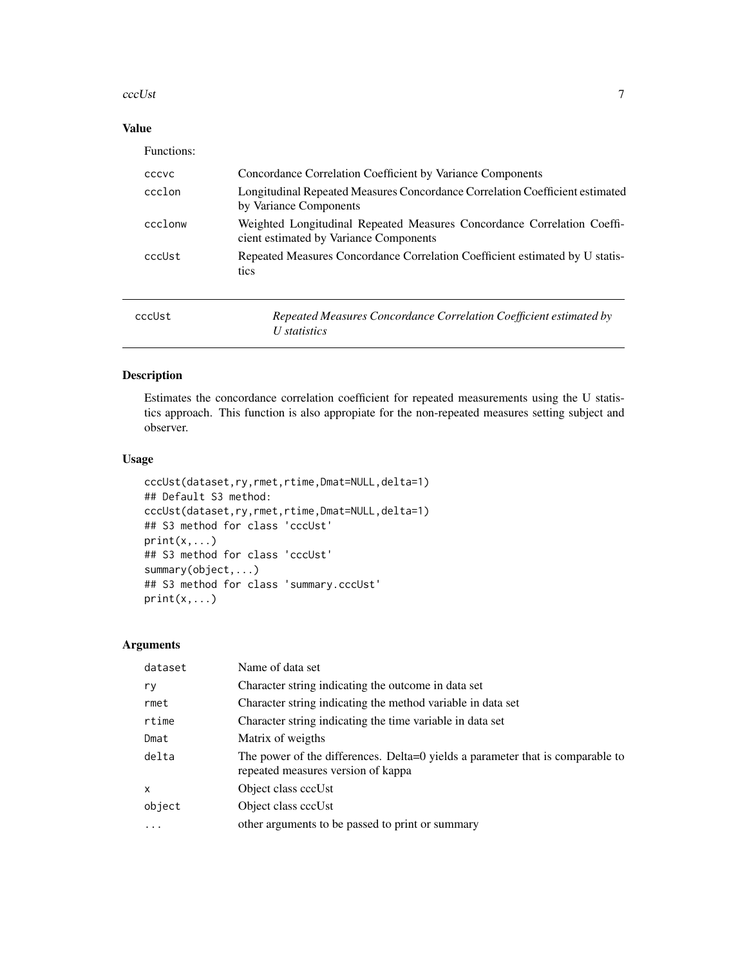#### <span id="page-6-0"></span>cccUst 7

# Value

| Functions: |                                                                                                                  |
|------------|------------------------------------------------------------------------------------------------------------------|
| CCCVC      | Concordance Correlation Coefficient by Variance Components                                                       |
| ccclon     | Longitudinal Repeated Measures Concordance Correlation Coefficient estimated<br>by Variance Components           |
| ccclonw    | Weighted Longitudinal Repeated Measures Concordance Correlation Coeffi<br>cient estimated by Variance Components |
| cccUst     | Repeated Measures Concordance Correlation Coefficient estimated by U statis-<br>tics                             |
| cccUst     | Repeated Measures Concordance Correlation Coefficient estimated by<br>U statistics                               |

# Description

Estimates the concordance correlation coefficient for repeated measurements using the U statistics approach. This function is also appropiate for the non-repeated measures setting subject and observer.

#### Usage

```
cccUst(dataset,ry,rmet,rtime,Dmat=NULL,delta=1)
## Default S3 method:
cccUst(dataset,ry,rmet,rtime,Dmat=NULL,delta=1)
## S3 method for class 'cccUst'
print(x, \ldots)## S3 method for class 'cccUst'
summary(object,...)
## S3 method for class 'summary.cccUst'
print(x, \ldots)
```
# Arguments

| dataset      | Name of data set                                                                                                     |
|--------------|----------------------------------------------------------------------------------------------------------------------|
| ry           | Character string indicating the outcome in data set                                                                  |
| rmet         | Character string indicating the method variable in data set                                                          |
| rtime        | Character string indicating the time variable in data set                                                            |
| Dmat         | Matrix of weigths                                                                                                    |
| delta        | The power of the differences. Delta=0 yields a parameter that is comparable to<br>repeated measures version of kappa |
| $\mathsf{x}$ | Object class cccUst                                                                                                  |
| object       | Object class cccUst                                                                                                  |
| $\ddots$     | other arguments to be passed to print or summary                                                                     |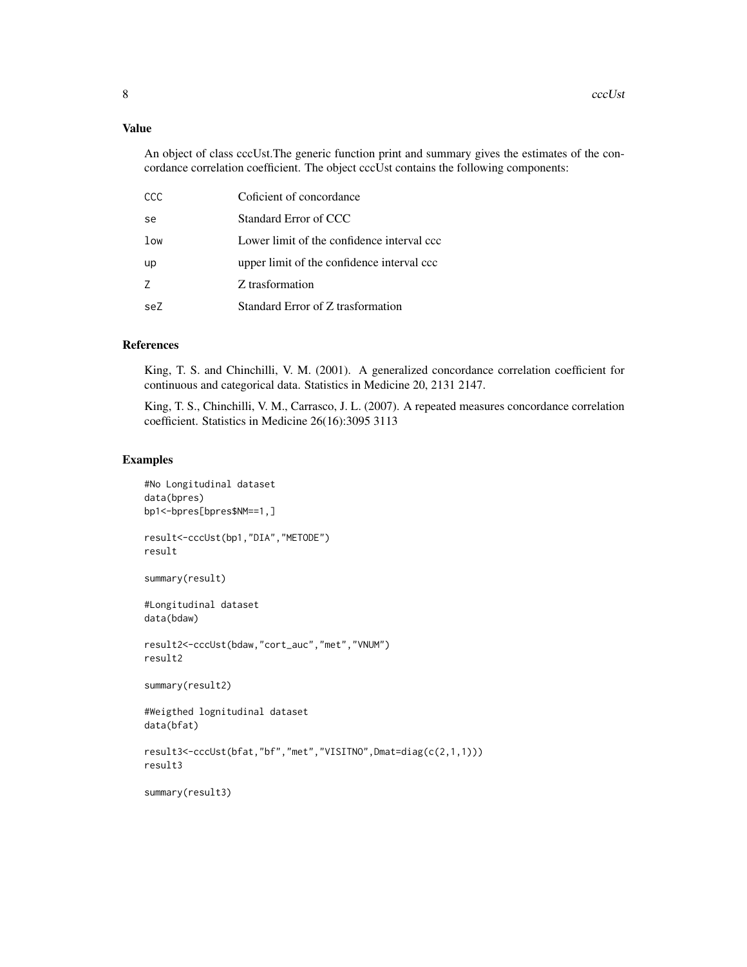#### Value

An object of class cccUst.The generic function print and summary gives the estimates of the concordance correlation coefficient. The object cccUst contains the following components:

| CCC | Coficient of concordance                   |
|-----|--------------------------------------------|
| se  | Standard Error of CCC                      |
| low | Lower limit of the confidence interval ccc |
| up  | upper limit of the confidence interval ccc |
| 7   | Z trasformation                            |
| seZ | Standard Error of Z trasformation          |

#### References

King, T. S. and Chinchilli, V. M. (2001). A generalized concordance correlation coefficient for continuous and categorical data. Statistics in Medicine 20, 2131 2147.

King, T. S., Chinchilli, V. M., Carrasco, J. L. (2007). A repeated measures concordance correlation coefficient. Statistics in Medicine 26(16):3095 3113

#### Examples

```
#No Longitudinal dataset
data(bpres)
bp1<-bpres[bpres$NM==1,]
result<-cccUst(bp1,"DIA","METODE")
result
summary(result)
#Longitudinal dataset
data(bdaw)
result2<-cccUst(bdaw,"cort_auc","met","VNUM")
result2
summary(result2)
#Weigthed lognitudinal dataset
data(bfat)
result3<-cccUst(bfat,"bf","met","VISITNO",Dmat=diag(c(2,1,1)))
result3
summary(result3)
```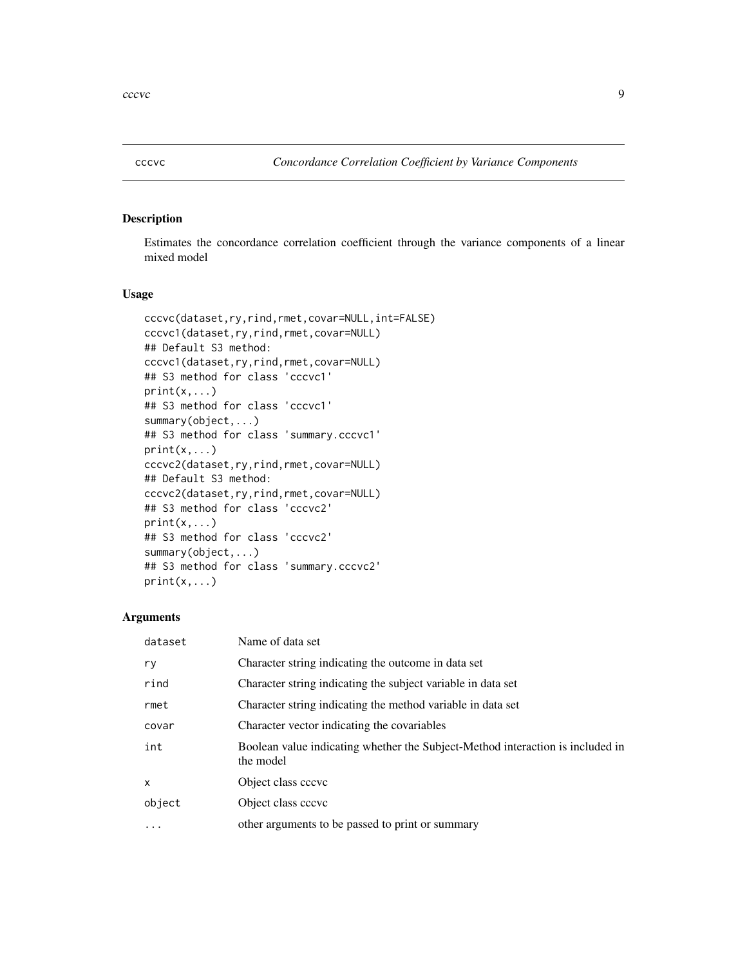<span id="page-8-0"></span>

#### Description

Estimates the concordance correlation coefficient through the variance components of a linear mixed model

#### Usage

```
cccvc(dataset,ry,rind,rmet,covar=NULL,int=FALSE)
cccvc1(dataset,ry,rind,rmet,covar=NULL)
## Default S3 method:
cccvc1(dataset,ry,rind,rmet,covar=NULL)
## S3 method for class 'cccvc1'
print(x, \ldots)## S3 method for class 'cccvc1'
summary(object,...)
## S3 method for class 'summary.cccvc1'
print(x, \ldots)cccvc2(dataset,ry,rind,rmet,covar=NULL)
## Default S3 method:
cccvc2(dataset,ry,rind,rmet,covar=NULL)
## S3 method for class 'cccvc2'
print(x,...)
## S3 method for class 'cccvc2'
summary(object,...)
## S3 method for class 'summary.cccvc2'
print(x, \ldots)
```
### Arguments

| dataset      | Name of data set                                                                            |
|--------------|---------------------------------------------------------------------------------------------|
| ry           | Character string indicating the outcome in data set                                         |
| rind         | Character string indicating the subject variable in data set                                |
| rmet         | Character string indicating the method variable in data set                                 |
| covar        | Character vector indicating the covariables                                                 |
| int          | Boolean value indicating whether the Subject-Method interaction is included in<br>the model |
| $\mathsf{x}$ | Object class cccvc                                                                          |
| object       | Object class cccvc                                                                          |
| $\cdots$     | other arguments to be passed to print or summary                                            |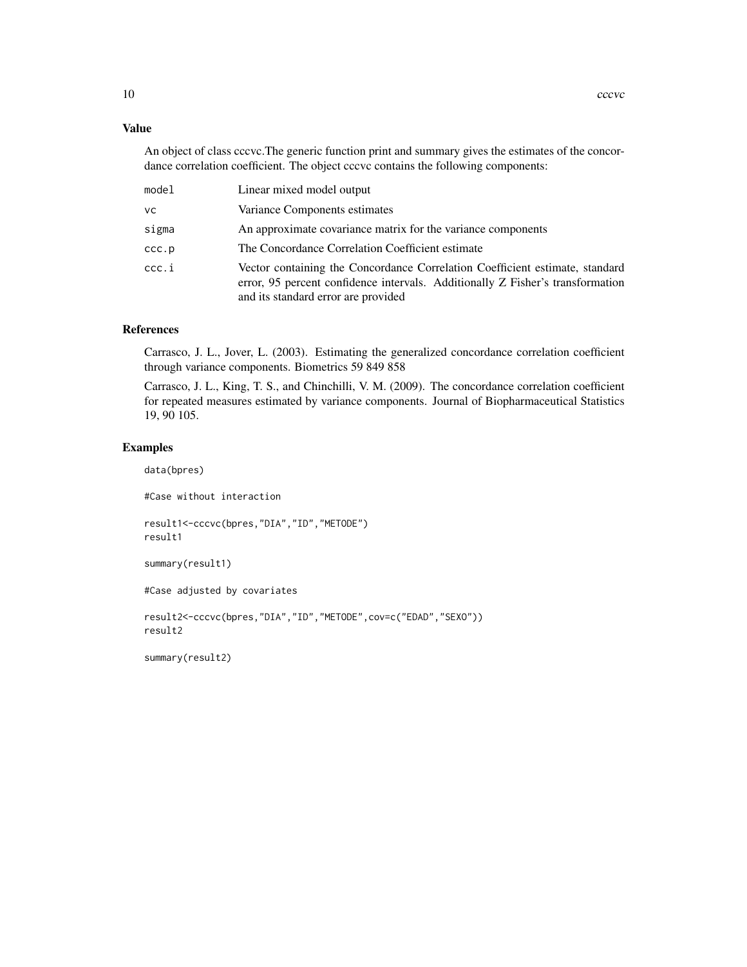#### Value

An object of class cccvc.The generic function print and summary gives the estimates of the concordance correlation coefficient. The object cccvc contains the following components:

| model | Linear mixed model output                                                                                                                                                                             |
|-------|-------------------------------------------------------------------------------------------------------------------------------------------------------------------------------------------------------|
| vс    | Variance Components estimates                                                                                                                                                                         |
| sigma | An approximate covariance matrix for the variance components                                                                                                                                          |
| ccc.p | The Concordance Correlation Coefficient estimate                                                                                                                                                      |
| ccc.i | Vector containing the Concordance Correlation Coefficient estimate, standard<br>error, 95 percent confidence intervals. Additionally Z Fisher's transformation<br>and its standard error are provided |

# References

Carrasco, J. L., Jover, L. (2003). Estimating the generalized concordance correlation coefficient through variance components. Biometrics 59 849 858

Carrasco, J. L., King, T. S., and Chinchilli, V. M. (2009). The concordance correlation coefficient for repeated measures estimated by variance components. Journal of Biopharmaceutical Statistics 19, 90 105.

#### Examples

data(bpres)

#Case without interaction result1<-cccvc(bpres,"DIA","ID","METODE")

result1

summary(result1)

#Case adjusted by covariates

```
result2<-cccvc(bpres,"DIA","ID","METODE",cov=c("EDAD","SEXO"))
result2
```
summary(result2)